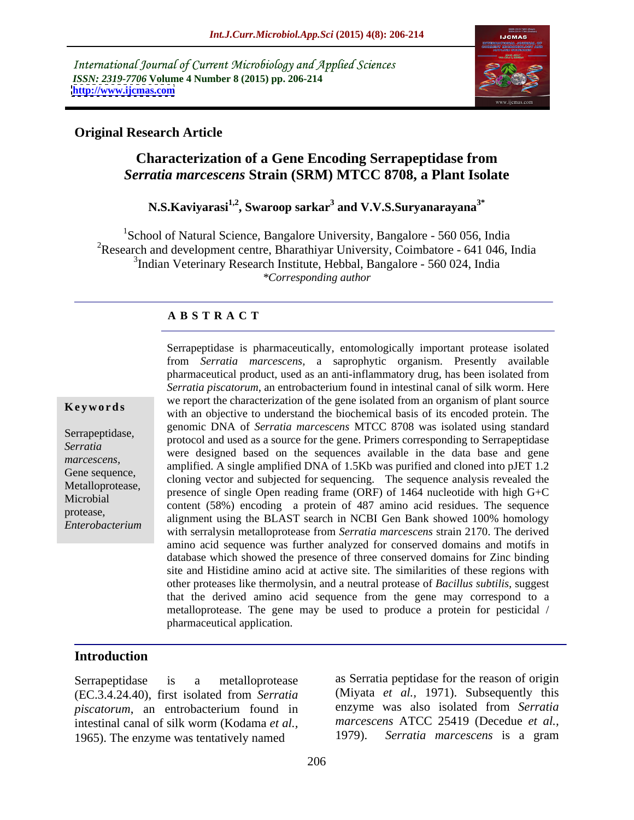International Journal of Current Microbiology and Applied Sciences *ISSN: 2319-7706* **Volume 4 Number 8 (2015) pp. 206-214 <http://www.ijcmas.com>**



### **Original Research Article**

# **Characterization of a Gene Encoding Serrapeptidase from**  *Serratia marcescens Strain (SRM) MTCC 8708, a Plant Isolate*<br>N.S.Kaviyarasi<sup>1,2</sup>, Swaroop sarkar<sup>3</sup> and V.V.S.Suryanarayana<sup>3\*</sup>

## **and V.V.S.Suryanarayana3\***

<sup>1</sup>School of Natural Science, Bangalore University, Bangalore - 560 056, India <sup>2</sup>Research and development centre, Bharathiyar University, Coimbatore - 641 046, India 3 Indian Veterinary Research Institute, Hebbal, Bangalore - 560 024, India *\*Corresponding author*

#### **A B S T R A C T**

*marcescens, Enterobacterium*

Serrapeptidase is pharmaceutically, entomologically important protease isolated from *Serratia marcescens,* a saprophytic organism. Presently available pharmaceutical product, used as an anti-inflammatory drug, has been isolated from *Serratia piscatorum*, an entrobacterium found in intestinal canal of silk worm. Here we report the characterization of the gene isolated from an organism of plant source **Keywords** we report the entrictual basis of the gene isolated from an organism or plant source with an objective to understand the biochemical basis of its encoded protein. The genomic DNA of *Serratia marcescens* MTCC 8708 was isolated using standard Serrapeptidase, protocol and used as a source for the gene. Primers corresponding to Serrapeptidase protocol and used as a source for the gene. Primers corresponding to Serrapeptidase were designed based on the sequences available in the data base and gene *Serratia*  amplified. A single amplified DNA of 1.5Kb was purified and cloned into pJET 1.2 Gene sequence,<br>
cloning vector and subjected for sequencing. The sequence analysis revealed the Metalloprotease,<br>Mission presence of single Open reading frame (ORF) of 1464 nucleotide with high G+C Microbial content (58%) encoding a protein of 487 amino acid residues. The sequence protease,<br>
alignment using the BLAST search in NCBI Gen Bank showed 100% homology with serralysin metalloprotease from *Serratia marcescens* strain 2170. The derived amino acid sequence was further analyzed for conserved domains and motifs in database which showed the presence of three conserved domains for Zinc binding site and Histidine amino acid at active site. The similarities of these regions with other proteases like thermolysin, and a neutral protease of *Bacillus subtilis,* suggest that the derived amino acid sequence from the gene may correspond to a metalloprotease. The gene may be used to produce a protein for pesticidal / pharmaceutical application.

### **Introduction**

(EC.3.4.24.40), first isolated from *Serratia piscatorum*, an entrobacterium found in intestinal canal of silk worm (Kodama *et al., marcescens* ATCC 25419 (Decedue *et al.,* 1965) The enzyme was tentatively named 1979). Serratia marcescens is a gram 1965). The enzyme was tentatively named

Serrapeptidase is a metalloprotease as Serratia peptidase for the reason of origin (Miyata *et al.,* 1971). Subsequently this enzyme was also isolated from *Serratia marcescens* ATCC 25419 (Decedue *et al.,* 1979). *Serratia marcescens* is a gram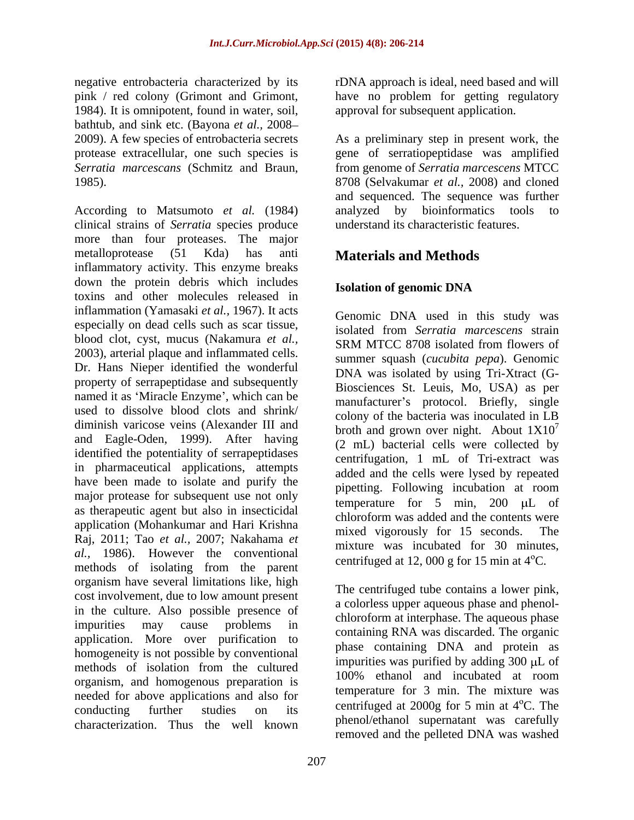pink / red colony (Grimont and Grimont, have no problem for getting regulatory 1984). It is omnipotent, found in water, soil, approval for subsequent application. bathtub, and sink etc. (Bayona *et al.,* 2008

clinical strains of *Serratia* species produce more than four proteases. The major metalloprotease (51 Kda) has anti **Materials and Methods** inflammatory activity. This enzyme breaks down the protein debris which includes **Isolation of genomic DNA** toxins and other molecules released in inflammation (Yamasaki *et al.,* 1967). It acts especially on dead cells such as scar tissue, blood clot, cyst, mucus (Nakamura *et al.,* 2003), arterial plaque and inflammated cells. Dr. Hans Nieper identified the wonderful property of serrapeptidase and subsequently named it as 'Miracle Enzyme', which can be used to dissolve blood clots and shrink/ diminish varicose veins (Alexander III and and Eagle-Oden, 1999). After having identified the potentiality of serrapeptidases in pharmaceutical applications, attempts have been made to isolate and purify the major protease for subsequent use not only as therapeutic agent but also in insecticidal application (Mohankumar and Hari Krishna mixed vigorously for 15 seconds. The Raj, 2011; Tao *et al.,* 2007; Nakahama *et al.,* 1986). However the conventional methods of isolating from the parent organism have several limitations like, high cost involvement, due to low amount present in the culture. Also possible presence of impurities may cause problems in containing DNA was discorded The against application. More over purification to homogeneity is not possible by conventional methods of isolation from the cultured impurities was purified by adding  $300 \mu L$  or organism, and homogenous preparation is needed for above applications and also for conducting further studies on its contribution at  $\frac{1}{2}$  conducting further studies on its characterization. Thus the well known

negative entrobacteria characterized by its rDNA approach is ideal, need based and will have no problem for getting regulatory approval for subsequent application.

2009). A few species of entrobacteria secrets As a preliminary step in present work, the protease extracellular, one such species is egene of serratiopeptidase was amplified *Serratia marcescans* (Schmitz and Braun, from genome of *Serratia marcescens* MTCC 1985).<br>
8708 (Selvakumar *et al.*, 2008) and cloned<br>
and sequenced. The sequence was further<br>
According to Matsumoto *et al.* (1984) analy from genome of *Serratia marcescens* MTCC 8708 (Selvakumar *et al.,* 2008) and cloned and sequenced. The sequence was further analyzed by bioinformatics tools to understand its characteristic features.

## **Isolation of genomic DNA**

Genomic DNA used in this study was isolated from *Serratia marcescens* strain SRM MTCC 8708 isolated from flowers of summer squash (*cucubita pepa*). Genomic DNA was isolated by using Tri-Xtract (G- Biosciences St. Leuis, Mo, USA) as per manufacturer's protocol. Briefly, single colony of the bacteria was inoculated in LB broth and grown over night. About  $1X10<sup>7</sup>$ 7 (2 mL) bacterial cells were collected by centrifugation, 1 mL of Tri-extract was added and the cells were lysed by repeated pipetting. Following incubation at room temperature for  $5$  min,  $200 \mu L$  of chloroform was added and the contents were mixed vigorously for 15 seconds. mixture was incubated for 30 minutes, centrifuged at 12, 000 g for 15 min at  $4^{\circ}$ C.

The centrifuged tube contains a lower pink, a colorless upper aqueous phase and phenol chloroform at interphase. The aqueous phase containing RNA was discarded. The organic phase containing DNA and protein as impurities was purified by adding  $300 \mu L$  of 100% ethanol and incubated at room temperature for 3 min. The mixture was centrifuged at 2000g for 5 min at  $4^{\circ}$ C. The phenol/ethanol supernatant was carefully removed and the pelleted DNA was washed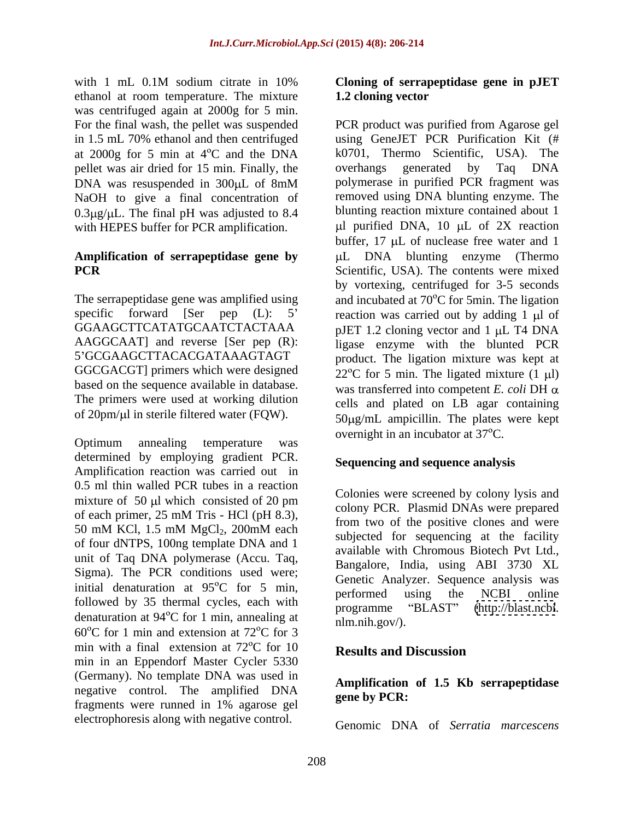with 1 mL 0.1M sodium citrate in 10% Cloning of serrapeptidase gene in pJET ethanol at room temperature. The mixture 1.2 cloning vector was centrifuged again at 2000g for 5 min. at  $2000g$  for 5 min at  $4^{\circ}$ C and the DNA k0701, Thermo Scientific, USA). The pellet was air dried for 15 min. Finally, the overhangs generated by Taq DNA NaOH to give a final concentration of  $0.3 \mu$ g/ $\mu$ L. The final pH was adjusted to 8.4 with HEPES buffer for PCR amplification.

# **Amplification of serrapeptidase gene by**

GGCGACGT] primers which were designed based on the sequence available in database. The primers were used at working dilution of  $20pm/\mu$  in sterile filtered water (FQW).

Optimum annealing temperature was overling the increased at  $57^{\circ}$ . determined by employing gradient PCR. Amplification reaction was carried out in 0.5 ml thin walled PCR tubes in a reaction mixture of  $50 \mu l$  which consisted of 20 pm of four dNTPS, 100ng template DNA and 1 unit of Taq DNA polymerase (Accu. Taq, Sigma). The PCR conditions used were; initial denaturation at  $95^{\circ}$ C for 5 min, beformed using the NCBI online followed by 35 thermal cycles, each with<br>programme "BLAST" (http://blast.ncbi. denaturation at 94 $\degree$ C for 1 min, annealing at  $\frac{\text{programme}}{\text{nlm.nih.gov/}}$ .  $60^{\circ}$ C for 1 min and extension at 72 $^{\circ}$ C for 3 min with a final extension at  $72^{\circ}$ C for 10 **Results and Discussion** min in an Eppendorf Master Cycler 5330 (Germany). No template DNA was used in negative control. The amplified  $DNA$  amplified  $MR$  are  $b$ y  $PCR$ : fragments were runned in 1% agarose gel electrophoresis along with negative control.

### **Cloning of serrapeptidase gene in pJET 1.2 cloning vector**

For the final wash, the pellet was suspended PCR product was purified from Agarose gel in 1.5 mL 70% ethanol and then centrifuged using GeneJET PCR Purification Kit (# DNA was resuspended in 300µL of 8mM polymerase in purified PCR fragment was **PCR** Scientific, USA). The contents were mixed The serrapeptidase gene was amplified using and incubated at  $70^{\circ}$ C for 5min. The ligation specific forward [Ser pep (L):  $5'$  reaction was carried out by adding 1  $\mu$  of GGAAGCTTCATATGCAATCTACTAAA pJET 1.2 cloning vector and 1 µL T4 DNA AAGGCAAT] and reverse [Ser pep (R): ligase enzyme with the blunted PCR 5 GCGAAGCTTACACGATAAAGTAGT product. The ligation mixture was kept at  $k0701$ , Thermo Scientific, overhangs generated by Taq DNA polymerase in purified PCR fragment was removed using DNA blunting enzyme. The blunting reaction mixture contained about 1  $\mu$ l purified DNA, 10  $\mu$ L of 2X reaction buffer,  $17 \mu L$  of nuclease free water and 1  $\mu$ L DNA blunting enzyme (Thermo by vortexing, centrifuged for 3-5 seconds  $22^{\circ}$ C for 5 min. The ligated mixture (1 µl) was transferred into competent  $E$ . *coli* DH  $\alpha$ cells and plated on LB agar containing  $50\mu g/mL$  ampicillin. The plates were kept overnight in an incubator at  $37^{\circ}$ C.

### **Sequencing and sequence analysis**

of each primer,  $25 \text{ mM Tris}$  - HCl (pH 8.3),  $\frac{1}{25}$  from two of the positive clopes and were  $50 \text{ mM KCl}, 1.5 \text{ mM } MgCl_2$ ,  $200 \text{ mM each}$  and  $\frac{10 \text{ m}}{100 \text{ m}}$  (we of the positive cross and were Colonies were screened by colony lysis and colony PCR. Plasmid DNAs were prepared from two of the positive clones and were subjected for sequencing at the facility available with Chromous Biotech Pvt Ltd., Bangalore, India, using ABI 3730 XL Genetic Analyzer. Sequence analysis was performed using the NCBI online programme "BLAST" [\(http://blast.ncbi](http://blast.ncbi). nlm.nih.gov/).

### **Results and Discussion**

#### **Amplification of 1.5 Kb serrapeptidase gene by PCR:**

Genomic DNA of *Serratia marcescens*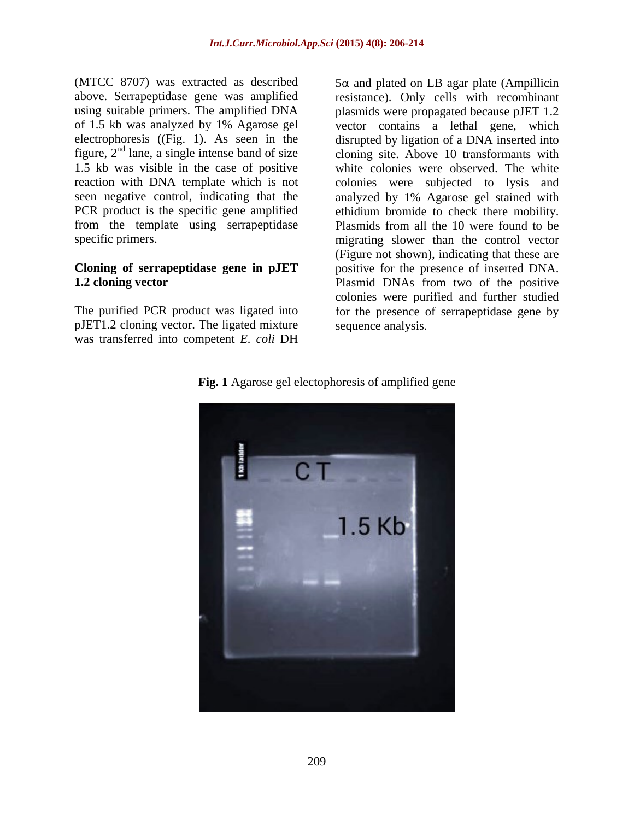(MTCC 8707) was extracted as described  $5\alpha$  and plated on LB agar plate (Ampillicin above. Serrapeptidase gene was amplified resistance). Only cells with recombinant using suitable primers. The amplified DNA plasmids were propagated because pJET 1.2 of 1.5 kb was analyzed by 1% Agarose gel vector contains a lethal gene, which electrophoresis ((Fig. 1). As seen in the disrupted by ligation of a DNA inserted into figure,  $2<sup>nd</sup>$  lane, a single intense band of size cloning site. Above 10 transformants with 1.5 kb was visible in the case of positive white colonies were observed. The white reaction with DNA template which is not colonies were subjected to lysis and seen negative control, indicating that the analyzed by 1% Agarose gel stained with PCR product is the specific gene amplified ethidium bromide to check there mobility. from the template using serrapeptidase Plasmids from all the 10 were found to be

pJET1.2 cloning vector. The ligated mixture was transferred into competent *E. coli* DH

specific primers. migrating slower than the control vector **Cloning of serrapeptidase gene in pJET** positive for the presence of inserted DNA. **1.2 cloning vector** Plasmid DNAs from two of the positive The purified PCR product was ligated into for the presence of serrapeptidase gene by (Figure not shown), indicating that these are colonies were purified and further studied sequence analysis.



**Fig. 1** Agarose gel electophoresis of amplified gene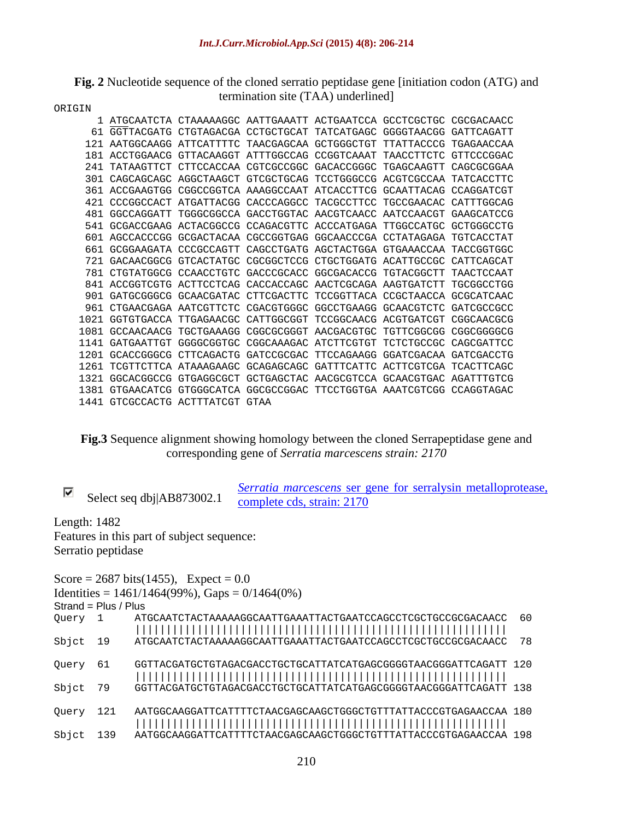### **Fig. 2** Nucleotide sequence of the cloned serratio peptidase gene [initiation codon (ATG) and termination site (TAA) underlined]

| ORIGIN |  |
|--------|--|
|--------|--|

| 1 ATGCAATCTA CTAAAAAGGC AATTGAAATT ACTGAATCCA GCCTCGCTGC CGCGACAACC    |
|------------------------------------------------------------------------|
| 61 GGTTACGATG CTGTAGACGA CCTGCTGCAT TATCATGAGC GGGGTAACGG GATTCAGATT   |
| 121 AATGGCAAGG ATTCATTTTC TAACGAGCAA GCTGGGCTGT TTATTACCCG TGAGAACCAA  |
| 181 ACCTGGAACG GTTACAAGGT ATTTGGCCAG CCGGTCAAAT TAACCTTCTC GTTCCCGGAC  |
| 241 TATAAGTTCT CTTCCACCAA CGTCGCCGGC GACACCGGGC TGAGCAAGTT CAGCGCGGAA  |
| 301 CAGCAGCAGC AGGCTAAGCT GTCGCTGCAG TCCTGGGCCG ACGTCGCCAA TATCACCTTC  |
| 361 ACCGAAGTGG CGGCCGGTCA AAAGGCCAAT ATCACCTTCG GCAATTACAG CCAGGATCGT  |
| 421 CCCGGCCACT ATGATTACGG CACCCAGGCC TACGCCTTCC TGCCGAACAC CATTTGGCAG  |
| 481 GGCCAGGATT TGGGCGGCCA GACCTGGTAC AACGTCAACC AATCCAACGT GAAGCATCCG  |
| 541 GCGACCGAAG ACTACGGCCG CCAGACGTTC ACCCATGAGA TTGGCCATGC GCTGGGCCTG  |
| 601 AGCCACCCGG GCGACTACAA CGCCGGTGAG GGCAACCCGA CCTATAGAGA TGTCACCTAT  |
| 661 GCGGAAGATA CCCGCCAGTT CAGCCTGATG AGCTACTGGA GTGAAACCAA TACCGGTGGC  |
| 721 GACAACGGCG GTCACTATGC CGCGGCTCCG CTGCTGGATG ACATTGCCGC CATTCAGCAT  |
| 781 CTGTATGGCG CCAACCTGTC GACCCGCACC GGCGACACCG TGTACGGCTT TAACTCCAAT  |
| 841 ACCGGTCGTG ACTTCCTCAG CACCACCAGC AACTCGCAGA AAGTGATCTT TGCGGCCTGG  |
| 901 GATGCGGGCG GCAACGATAC CTTCGACTTC TCCGGTTACA CCGCTAACCA GCGCATCAAC  |
| 961 CTGAACGAGA AATCGTTCTC CGACGTGGGC GGCCTGAAGG GCAACGTCTC GATCGCCGCC  |
| 1021 GGTGTGACCA TTGAGAACGC CATTGGCGGT TCCGGCAACG ACGTGATCGT CGGCAACGCG |
| 1081 GCCAACAACG TGCTGAAAGG CGGCGCGGGT AACGACGTGC TGTTCGGCGG CGGCGGGGCG |
| 1141 GATGAATTGT GGGGCGGTGC CGGCAAAGAC ATCTTCGTGT TCTCTGCCGC CAGCGATTCC |
| 1201 GCACCGGGCG CTTCAGACTG GATCCGCGAC TTCCAGAAGG GGATCGACAA GATCGACCTG |
| 1261 TCGTTCTTCA ATAAAGAAGC GCAGAGCAGC GATTTCATTC ACTTCGTCGA TCACTTCAGC |
| 1321 GGCACGGCCG GTGAGGCGCT GCTGAGCTAC AACGCGTCCA GCAACGTGAC AGATTTGTCG |
| 1381 GTGAACATCG GTGGGCATCA GGCGCCGGAC TTCCTGGTGA AAATCGTCGG CCAGGTAGAC |
| 1441 GTCGCCACTG ACTTTATCGT GTAA                                        |

#### **Fig.3** Sequence alignment showing homology between the cloned Serrapeptidase gene and corresponding gene of *Serratia marcescens strain: 2170*

| __                        | -0116<br>----<br>$\sim$ ser gene for serralysin m<br><b>EMATIA MATLESLE</b><br>чино<br>metan<br>$\sim$ occase |
|---------------------------|---------------------------------------------------------------------------------------------------------------|
| Select seq dbj AB873002.1 | ---<br>- -<br>rele cus,<br>$\pm$ am. $\angle$ 17                                                              |

Length: 1482

Features in this part of subject sequence:<br>Serratio peptidase Serratio peptidase

|                        | Score = $2687 \text{ bits}(1455)$ , Expect = 0.0                           |
|------------------------|----------------------------------------------------------------------------|
|                        | Identities = $1461/1464(99\%)$ , Gaps = $0/1464(0\%)$                      |
| Strand = $Plus / Plus$ |                                                                            |
| Query                  | ATGCAATCTACTAAAAAGGCAATTGAAATTACTGAATCCAGCCTCGCTGCCGCGACAACC 60            |
| Sbjct 19               | ATGCAATCTACTAAAAAGGCAATTGAAATTACTGAATCCAGCCTCGCTGCCGCGACAACC 78            |
| Query 61               | GGTTACGATGCTGTAGACGACCTGCTGCATTATCATGAGCGGGGTAACGGGATTCAGATT 120           |
| Sbjct 79               | GGTTACGATGCTGTAGACGACCTGCTGCATTATCATGAGCGGGGTAACGGGATTCAGATT 138           |
| Query 121              | AATGGCAAGGATTCATTTTCTAACGAGCAAGCTGGGCTGTTTATTACCCGTGAGAACCAA 180           |
|                        | Sbjct 139 AATGGCAAGGATTCATTTTCTAACGAGCAAGCTGGGCTGTTTATTACCCGTGAGAACCAA 198 |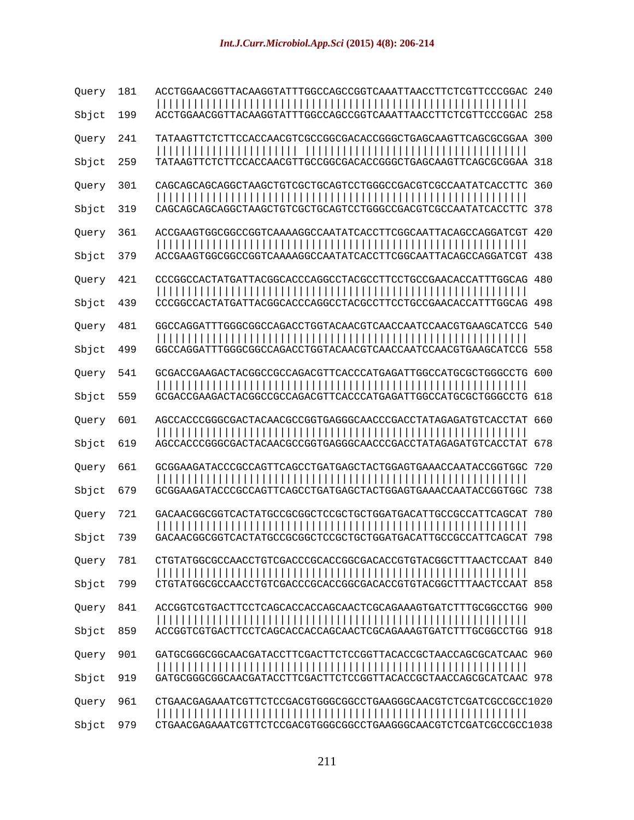| Query 181<br>Sbjct 199 | ACCTGGAACGGTTACAAGGTATTTGGCCAGCCGGTCAAATTAACCTTCTCGTTCCCGGAC 240                                                                     |  |
|------------------------|--------------------------------------------------------------------------------------------------------------------------------------|--|
| Query 241<br>Sbjct 259 | TATAAGTTCTCTCCACCAACGTCGCCGGCGACACCGGCTGAGCAAGTTCAGCGCGAA 300                                                                        |  |
| Query 301<br>Sbjct 319 | CAGCAGCAGCAGGCTAAGCTGTCGCTGCAGTCCTGGGCCGACGTCGCCAATATCACCTTC 360                                                                     |  |
| Query 361<br>Sbjct 379 | ACCGAAGTGGCGGCCGGTCAAAAGGCCAATATCACCTTCGGCAATTACAGCCAGGATCGT 420<br>ACCGAAGTGGCGGCCGGTCAAAAGGCCAATATCACCTTCGGCAATTACAGCCAGGATCGT 438 |  |
| Query 421<br>Sbjct 439 | CCCGGCCACTATGATTACGGCACCCAGGCCTACGCCTTCCTGCCGAACACCATTTGGCAG 480<br>CCCGGCCACTATGATTACGGCACCCAGGCCTACGCCTTCCTGCCGAACACCATTTGGCAG 498 |  |
| Query 481<br>Sbjct 499 | GGCCAGGATTTGGGCGGCCAGACCTGGTACAACGTCAACCAATCCAACGTGAAGCATCCG 540<br>GGCCAGGATTTGGGCGGCCAGACCTGGTACAACGTCAACCAATCCAACGTGAAGCATCCG 558 |  |
| Query 541<br>Sbjct 559 | GCGACCGAAGACTACGGCCGCCAGACGTTCACCCATGAGATTGGCCATGCGCTGGGCCTG 600                                                                     |  |
| Query 601<br>Sbjct 619 | AGCCACCCGGCGACTACAACGCCGGTGAGGCCAACCCGACCTATAGAGATGTCACCTAT 660                                                                      |  |
| Query 661<br>Sbjct 679 | GCGGAAGATACCCGCCAGTTCAGCCTGATGAGCTACTGGAGTGAAACCAATACCGGTGGC 720                                                                     |  |
| Query 721<br>Sbjct 739 | GACAACGGCGGTCACTATGCCGCGGCTCCGCTGCTGGATGACATTGCCGCCATTCAGCAT 780<br>GACAACGGCGGTCACTATGCCGCGGCTCCGCTGCTGGATGACATTGCCGCCATTCAGCAT 798 |  |
| Query 781<br>Sbjct 799 | CTGTATGGCGCCAACCTGTCGACCCGCACCGGCGACACCGTGTACGGCTTTAACTCCAAT 840<br>CTGTATGGCGCCAACCTGTCGACCCGCACCGGCGACACCGTGTACGGCTTTAACTCCAAT 858 |  |
| Query 841<br>Sbjct 859 | ACCGGTCGTGACTTCCTCAGCACCACCAGCAACTCGCAGAAAGTGATCTTTGCGGCCTGG 900                                                                     |  |
| Query 901<br>Sbjct 919 | GATGCGGGCGCAACGATACCTTCGACTTCTCCGGTTACACCGCTAACCAGCGCATCAAC 960<br>GATGCGGGCGCCAACGATACCTTCGACTTCTCCGGTTACACCGCTAACCAGCGCATCAAC 978  |  |
| Query 961<br>Sbjct 979 | CTGAACGAGAAATCGTTCTCCGACGTGGGCGGCCTGAAGGGCAACGTCTCGATCGCCGCC1020<br>CTGAACGAGAAATCGTTCTCCGACGTGGGCGGCCTGAAGGGCAACGTCTCGATCGCCGCC1038 |  |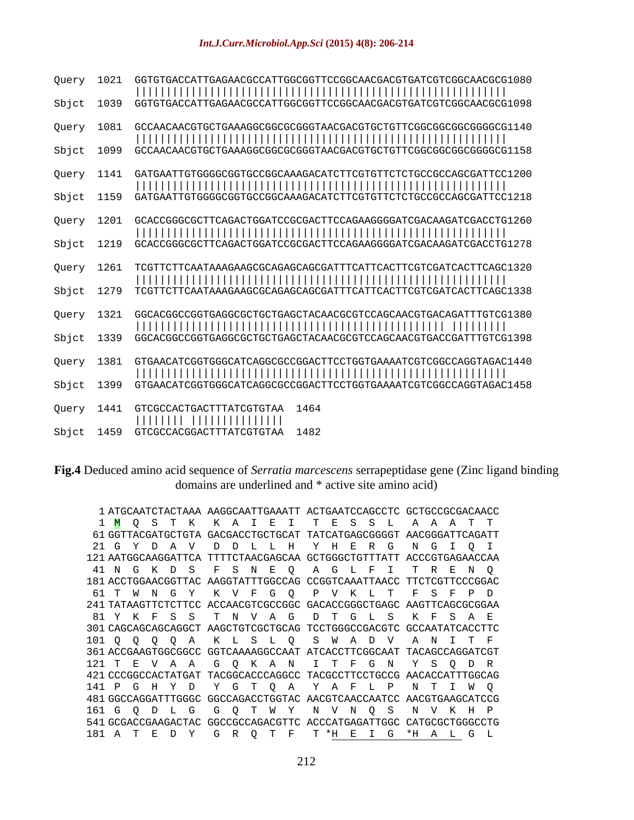#### *Int.J.Curr.Microbiol.App.Sci* **(2015) 4(8): 206-214**

| Query 1021    | GGTGTGACCATTGAGAACGCCATTGGCGGTTCCGGCAACGACGTGATCGTCGGCAACGCG1080 |  |  |
|---------------|------------------------------------------------------------------|--|--|
| Sbjct 1039    | GGTGTGACCATTGAGAACGCCATTGGCGGTTCCGGCAACGACGTGATCGTCGGCAACGCG1098 |  |  |
| Query 1081    |                                                                  |  |  |
| Sbjct 1099    |                                                                  |  |  |
| Query 1141    | GATGAATTGTGGGGCGGTGCCGGCAAAGACATCTTCGTGTTCTCTGCCGCCAGCGATTCC1200 |  |  |
| Sbjct 1159    |                                                                  |  |  |
| 1201<br>Query | GCACCGGGCGCTTCAGACTGGATCCGCGACTTCCAGAAGGGGATCGACAAGATCGACCTG1260 |  |  |
| 1219<br>Sbjct | CGGGCGCTTCAGACTGGATCCGCGACTTCCAGAAGGGGATCGACAAGATCGACCTG1278     |  |  |
| Query 1261    |                                                                  |  |  |
| Sbjct 1279    |                                                                  |  |  |
| Query 1321    | GGCACGGCCGGTGAGGCGCTGCTGAGCTACAACGCGTCCAGCAACGTGACAGATTTGTCG1380 |  |  |
| Sbjct 1339    | GGCACGGCCGGTGAGGCGCTGCTGAGCTACAACGCGTCCAGCAACGTGACCGATTTGTCG1398 |  |  |
| Query 1381    | GTGAACATCGGTGGCATCAGGCGCCGGACTTCCTGGTGAAAATCGTCGGCCAGGTAGAC1440  |  |  |
| Sbjct 1399    | GTGAACATCGGTGGCATCAGGCGCCGGACTTCCTGGTGAAAATCGTCGGCCAGGTAGAC1458  |  |  |
| Query 1441    | GTCGCCACTGACTTTATCGTGTAA 1464                                    |  |  |
| Sbjct 1459    | GTCGCCACGGACTTTATCGTGTAA 1482                                    |  |  |

#### **Fig.4** Deduced amino acid sequence of *Serratia marcescens* serrapeptidase gene (Zinc ligand binding domains are underlined and \* active site amino acid)

1 ATGCAATCTACTAAA AAGGCAATTGAAATT ACTGAATCCAGCCTC GCTGCCGCGACAACC 1 <mark>M Q S T K K A I E I T E S S L A A A T T</mark> 61 GGTTACGATGCTGTA GACGACCTGCTGCAT TATCATGAGCGGGGT AACGGGATTCAGATT 21 G Y D A V D D L L H Y H E R G N G I Q I 121 AATGGCAAGGATTCA TTTTCTAACGAGCAA GCTGGGCTGTTTATT ACCCGTGAGAACCAA 41 N G K D S F S N E Q A G L F I T R E N Q 181 ACCTGGAACGGTTAC AAGGTATTTGGCCAG CCGGTCAAATTAACC TTCTCGTTCCCGGAC 61 T W N G Y K V F G Q P V K L T F S F P D 241 TATAAGTTCTCTTCC ACCAACGTCGCCGGC GACACCGGGCTGAGC AAGTTCAGCGCGGAA 81 Y K F S S T N V A G D T G L S K F S A E 301 CAGCAGCAGCAGGCT AAGCTGTCGCTGCAG TCCTGGGCCGACGTC GCCAATATCACCTTC 101 Q Q Q Q A K L S L Q S W A D V A N I T F 361 ACCGAAGTGGCGGCC GGTCAAAAGGCCAAT ATCACCTTCGGCAAT TACAGCCAGGATCGT 121 T E V A A G Q K A N I T F G N Y S Q D R 421 CCCGGCCACTATGAT TACGGCACCCAGGCC TACGCCTTCCTGCCG AACACCATTTGGCAG 141 P G H Y D Y G T Q A Y A F L P N T I W Q 481 GGCCAGGATTTGGGC GGCCAGACCTGGTAC AACGTCAACCAATCC AACGTGAAGCATCCG 161 G Q D L G G Q T W Y N V N Q S N V K H P 541 GCGACCGAAGACTAC GGCCGCCAGACGTTC ACCCATGAGATTGGC CATGCGCTGGGCCTG 181 A T E D Y G R Q T F T \*H E I G \*H A L G LM Q S T K K A I E I T E S S L A A A T T G Y D A V D D L L H Y H E R G N G I Q I N G K D S F S N E Q A G L F I T R E N Q T W N G Y K V F G Q P V K L T F S F P D Y K F S S T N V A G D T G L S K F S A E Q Q Q Q A K L S L Q S W A D V A N I T F T E V A A G Q K A N I T F G N Y S Q D R P G H Y D Y G T Q A Y A F L P N T I W Q G Q D L G G Q T W Y N V N Q S N V K H P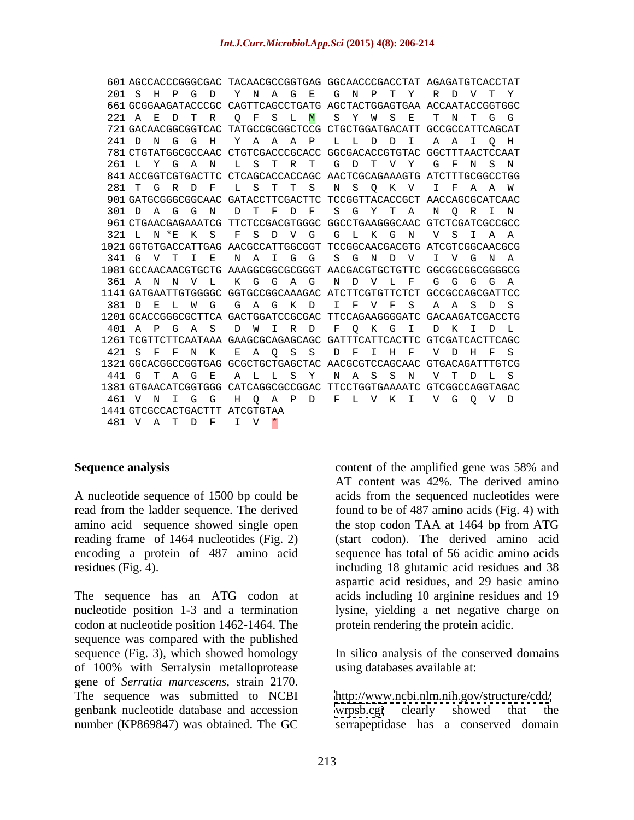| 601 AGCCACCCGGGCGAC TACAACGCCGGTGAG GGCAACCCGACCTAT AGAGATGTCACCTAT  |  |
|----------------------------------------------------------------------|--|
| 201 SHP GD Y N A G E G N P T Y R D V T Y                             |  |
| 661 GCGGAAGATACCCGC CAGTTCAGCCTGATG AGCTACTGGAGTGAA ACCAATACCGGTGGC  |  |
| 221 A E D T R Q F S L M S Y W S E T N T G G                          |  |
| 721 GACAACGGCGGTCAC TATGCCGCGGCTCCG CTGCTGGATGACATT GCCGCCATTCAGCAT  |  |
| 241 D N G G H Y A A A P L L D D I A A I Q H                          |  |
| 781 CTGTATGGCGCCAAC CTGTCGACCCGCACC GGCGACACCGTGTAC GGCTTTAACTCCAAT  |  |
| 261 L Y G A N L S T R T G D T V Y G F N S N                          |  |
| 841 ACCGGTCGTGACTTC CTCAGCACCACCAGC AACTCGCAGAAAGTG ATCTTTGCGGCCTGG  |  |
| 281 T G R D F L S T T S N S Q K V I F A A W                          |  |
| 901 GATGCGGGCGGCAAC GATACCTTCGACTTC TCCGGTTACACCGCT AACCAGCGCATCAAC  |  |
| 301 D A G G N D T F D F S G Y T A N Q R I N                          |  |
| 961 CTGAACGAGAAATCG TTCTCCGACGTGGGC GGCCTGAAGGGCAAC GTCTCGATCGCCGCC  |  |
| 321 L N *E K S F S D V G G L K G N V S I A A                         |  |
| 1021 GGTGTGACCATTGAG AACGCCATTGGCGGT TCCGGCAACGACGTG ATCGTCGGCAACGCG |  |
| 341 G V T I E N A I G G S<br>VIVGNA<br>G N D                         |  |
| 1081 GCCAACAACGTGCTG AAAGGCGGCGCGGGT AACGACGTGCTGTTC GGCGGCGGCGGGGCG |  |
| 361 A N N V L K G G A G N D V L F G G G G A                          |  |
| 1141 GATGAATTGTGGGGC GGTGCCGGCAAAGAC ATCTTCGTGTTCTCT GCCGCCAGCGATTCC |  |
| 381 D E L W G G A G K D I F V F S A A S D S                          |  |
| 1201 GCACCGGGCGCTTCA GACTGGATCCGCGAC TTCCAGAAGGGGATC GACAAGATCGACCTG |  |
| 401 A P G A S D W I R D F O K G I D K I D L                          |  |
| 1261 TCGTTCTTCAATAAA GAAGCGCAGAGCAGC GATTTCATTCACTTC GTCGATCACTTCAGC |  |
| 421 S F F N K E A Q S S D F I H F V D H F S                          |  |
| 1321 GGCACGGCCGGTGAG GCGCTGCTGAGCTAC AACGCGTCCAGCAAC GTGACAGATTTGTCG |  |
| 441 G T A G E A L L S Y N A S S N V T D L S                          |  |
| 1381 GTGAACATCGGTGGG CATCAGGCGCCGGAC TTCCTGGTGAAAATC GTCGGCCAGGTAGAC |  |
| 461 V N I G G H Q A P D F L V K I V G Q V D                          |  |
| 1441 GTCGCCACTGACTTT ATCGTGTAA                                       |  |
| 481 V A T D F I V *                                                  |  |

A nucleotide sequence of 1500 bp could be acids from the sequenced nucleotides were read from the ladder sequence. The derived amino acid sequence showed single open thestop codon TAA at 1464 bp from ATG reading frame of 1464 nucleotides (Fig. 2) encoding a protein of 487 amino acid

The sequence has an ATG codon at nucleotide position 1-3 and a termination lysine, yielding a net negative charge on codon at nucleotide position 1462-1464. The sequence was compared with the published sequence (Fig. 3), which showed homology of 100% with Serralysin metalloprotease gene of *Serratia marcescens*, strain 2170.<br>The sequence was submitted to NCBI http://www.ncbi.nlm.nih.gov/structure/cdd/ genbank nucleotide database and accession number (KP869847) was obtained. The GC serrapeptidase has a conserved domain

**Sequence analysis** Sequence analysis **Sequence** and  $\frac{1}{2}$  and  $\frac{1}{2}$  content of the amplified gene was 58% and residues (Fig. 4). including 18 glutamic acid residues and 38 content of the amplified gene was 58% and AT content was 42%. The derived amino found to be of 487 amino acids (Fig. 4) with (start codon). The derived amino acid sequence has total of 56 acidic amino acids aspartic acid residues, and 29 basic amino acids including 10 arginine residues and 19 protein rendering the protein acidic.

> In silico analysis of the conserved domains using databases available at:

<http://www.ncbi.nlm.nih.gov/structure/cdd/> [wrpsb.cgi](http://wrpsb.cgi) clearly showed that the